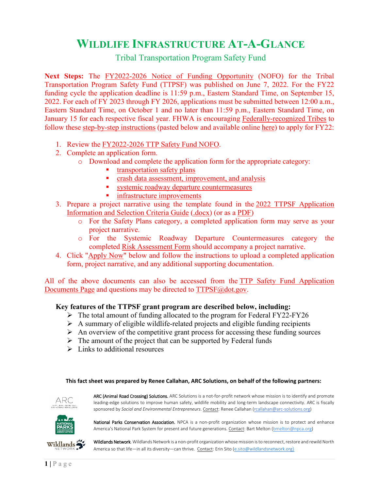# **WILDLIFE INFRASTRUCTURE AT-A-GLANCE**

Tribal Transportation Program Safety Fund

**Next Steps:** The [FY2022-2026 Notice of Funding Opportunity](https://highways.dot.gov/sites/fhwa.dot.gov/files/docs/subdoc/2401/fy2022-2026-ttp-safety-fund-final-nofo.pdf) (NOFO) for the Tribal Transportation Program Safety Fund (TTPSF) was published on June 7, 2022. For the FY22 funding cycle the application deadline is 11:59 p.m., Eastern Standard Time, on September 15, 2022. For each of FY 2023 through FY 2026, applications must be submitted between 12:00 a.m., Eastern Standard Time, on October 1 and no later than 11:59 p.m., Eastern Standard Time, on January 15 for each respective fiscal year. FHWA is encouraging [Federally-recognized Tribes](https://www.federalregister.gov/d/2020-01707/p-8) to follow these [step-by-step instructions](https://highways.dot.gov/federal-lands/programs-tribal/safety/funds) (pasted below and available online [here\)](https://highways.dot.gov/federal-lands/programs-tribal/safety/funds) to apply for FY22:

- 1. Review the [FY2022-2026 TTP Safety Fund NOFO.](https://highways.dot.gov/sites/fhwa.dot.gov/files/docs/subdoc/2401/fy2022-2026-ttp-safety-fund-final-nofo.pdf)
- 2. Complete an application form.
	- o Download and complete the application form for the appropriate category:
		- [transportation safety plans](https://highways.dot.gov/sites/fhwa.dot.gov/files/docs/subdoc/2411/2022-ttpsf-application-form-safety-plans.pdf)
			- [crash data assessment, improvement, and analysis](https://highways.dot.gov/sites/fhwa.dot.gov/files/docs/subdoc/2416/2022-ttpsf-application-form-data.pdf)
			- [systemic roadway departure countermeasures](https://highways.dot.gov/sites/fhwa.dot.gov/files/docs/subdoc/2436/systemic-rwd-risk-assessment-form-final.pdf)
		- **n** [infrastructure improvements](https://highways.dot.gov/sites/fhwa.dot.gov/files/docs/subdoc/2441/2022-ttpsf-application-form-infrastructure.pdf)
- 3. Prepare a project narrative using the template found in the [2022 TTPSF Application](https://highways.dot.gov/sites/fhwa.dot.gov/files/docs/subdoc/2431/2022-2026-ttpsf-application-info-selection-criteria-guide.docx)  [Information and Selection Criteria Guide](https://highways.dot.gov/sites/fhwa.dot.gov/files/docs/subdoc/2431/2022-2026-ttpsf-application-info-selection-criteria-guide.docx) (.docx) (or [as a PDF\)](https://highways.dot.gov/sites/fhwa.dot.gov/files/docs/subdoc/2426/2022-2026-ttpsf-application-info-selection-criteria-guide.pdf)
	- o For the Safety Plans category, a completed application form may serve as your project narrative.
	- o For the Systemic Roadway Departure Countermeasures category the completed [Risk Assessment Form](https://highways.dot.gov/sites/fhwa.dot.gov/files/images/Systemic%20RwD%20Risk%20Assessment%20Form%20-%20FINAL.pdf) should accompany a project narrative.
- 4. Click ["Apply Now"](http://surveys.max.gov/2022) below and follow the instructions to upload a completed application form, project narrative, and any additional supporting documentation.

All of the above documents can also be accessed from the [TTP Safety Fund Application](https://highways.dot.gov/federal-lands/programs-tribal/safety/ttpsf-application-documents)  [Documents Page](https://highways.dot.gov/federal-lands/programs-tribal/safety/ttpsf-application-documents) and questions may be directed to [TTPSF@dot.gov.](mailto:TTPSF@dot.gov?subject=TTPSF%20Question)

#### **Key features of the TTPSF grant program are described below, including:**

- $\triangleright$  The total amount of funding allocated to the program for Federal FY22-FY26
- $\triangleright$  A summary of eligible wildlife-related projects and eligible funding recipients
- $\triangleright$  An overview of the competitive grant process for accessing these funding sources
- $\triangleright$  The amount of the project that can be supported by Federal funds
- $\triangleright$  Links to additional resources

**This fact sheet was prepared by Renee Callahan, ARC Solutions, on behalf of the following partners:**



ARC (Animal Road Crossing) Solutions. ARC Solutions is a not-for-profit network whose mission is to identify and promote leading-edge solutions to improve human safety, wildlife mobility and long-term landscape connectivity. ARC is fiscally sponsored by *Social and Environmental Entrepreneurs*. Contact: Renee Callahan [\(rcallahan@arc-solutions.org\)](mailto:rcallahan@arc-solutions.org)



National Parks Conservation Association. NPCA is a non-profit organization whose mission is to protect and enhance America's National Park System for present and future generations. Contact: Bart Melton [\(bmelton@npca.org\)](mailto:bmelton@npca.org)



Wildlands Network. Wildlands Network is a non-profit organization whose mission is to reconnect, restore and rewild North America so that life—in all its diversity—can thrive. Contact: Erin Sito [\(e.sito@wildlandsnetwork.org](mailto:e.sito@wildlandsnetwork.org))